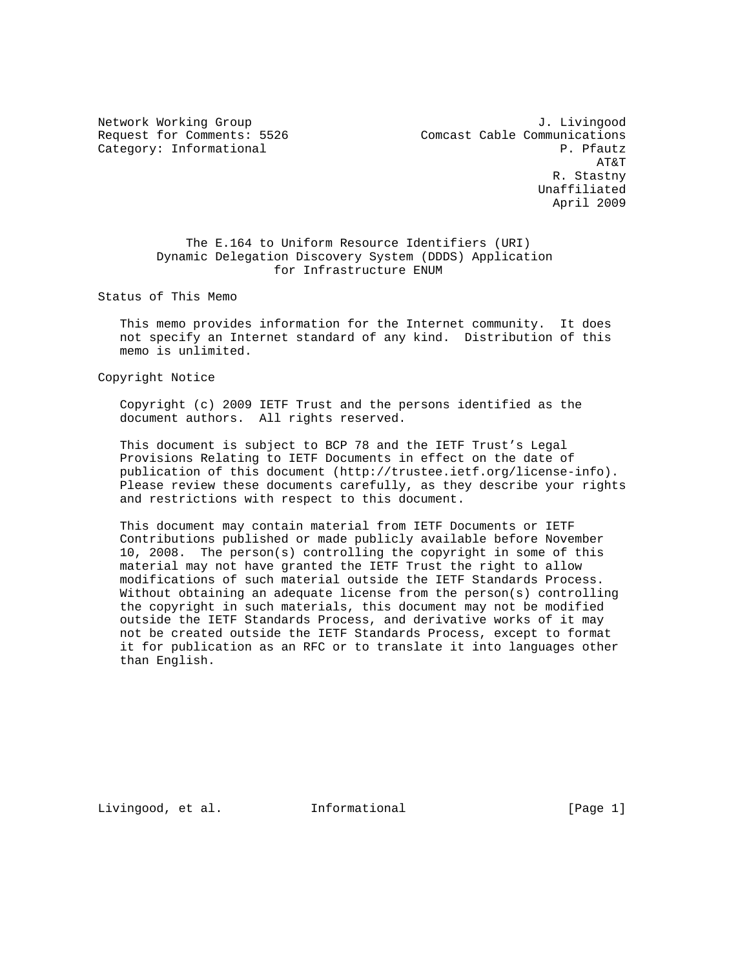Network Working Group and Months and Months J. Livingood Request for Comments: 5526 Comcast Cable Communications Category: Informational P. Pfautz AT&T R. Stastny Unaffiliated April 2009

## The E.164 to Uniform Resource Identifiers (URI) Dynamic Delegation Discovery System (DDDS) Application for Infrastructure ENUM

Status of This Memo

 This memo provides information for the Internet community. It does not specify an Internet standard of any kind. Distribution of this memo is unlimited.

Copyright Notice

 Copyright (c) 2009 IETF Trust and the persons identified as the document authors. All rights reserved.

 This document is subject to BCP 78 and the IETF Trust's Legal Provisions Relating to IETF Documents in effect on the date of publication of this document (http://trustee.ietf.org/license-info). Please review these documents carefully, as they describe your rights and restrictions with respect to this document.

 This document may contain material from IETF Documents or IETF Contributions published or made publicly available before November 10, 2008. The person(s) controlling the copyright in some of this material may not have granted the IETF Trust the right to allow modifications of such material outside the IETF Standards Process. Without obtaining an adequate license from the person(s) controlling the copyright in such materials, this document may not be modified outside the IETF Standards Process, and derivative works of it may not be created outside the IETF Standards Process, except to format it for publication as an RFC or to translate it into languages other than English.

Livingood, et al. Informational [Page 1]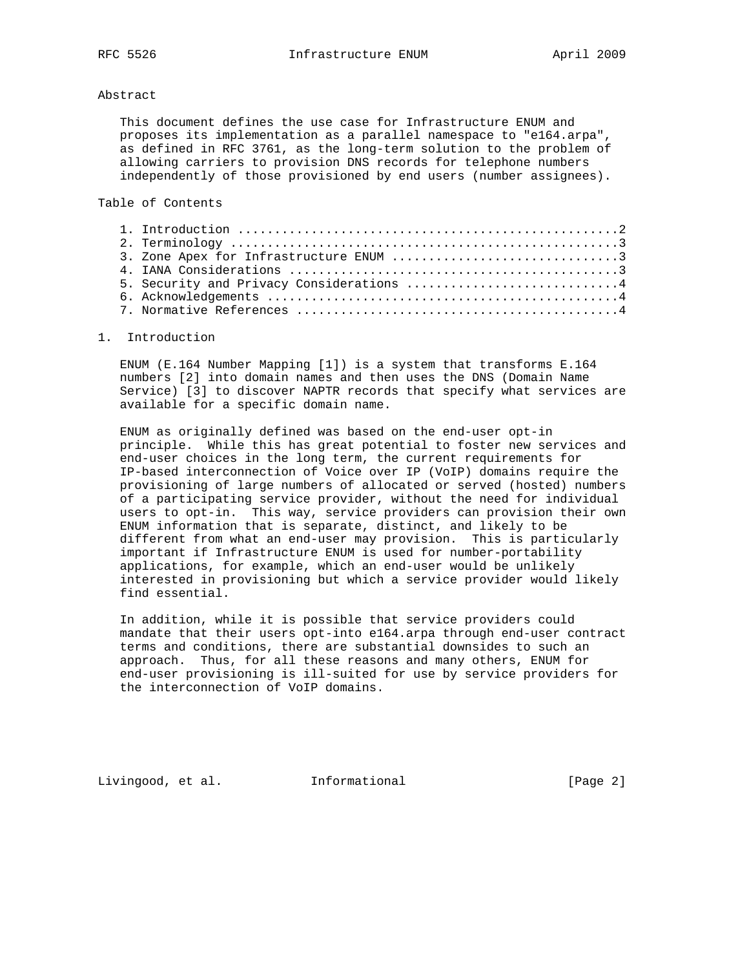## Abstract

 This document defines the use case for Infrastructure ENUM and proposes its implementation as a parallel namespace to "e164.arpa", as defined in RFC 3761, as the long-term solution to the problem of allowing carriers to provision DNS records for telephone numbers independently of those provisioned by end users (number assignees).

Table of Contents

|  | 5. Security and Privacy Considerations 4 |  |
|--|------------------------------------------|--|
|  |                                          |  |
|  |                                          |  |
|  |                                          |  |

## 1. Introduction

 ENUM (E.164 Number Mapping [1]) is a system that transforms E.164 numbers [2] into domain names and then uses the DNS (Domain Name Service) [3] to discover NAPTR records that specify what services are available for a specific domain name.

 ENUM as originally defined was based on the end-user opt-in principle. While this has great potential to foster new services and end-user choices in the long term, the current requirements for IP-based interconnection of Voice over IP (VoIP) domains require the provisioning of large numbers of allocated or served (hosted) numbers of a participating service provider, without the need for individual users to opt-in. This way, service providers can provision their own ENUM information that is separate, distinct, and likely to be different from what an end-user may provision. This is particularly important if Infrastructure ENUM is used for number-portability applications, for example, which an end-user would be unlikely interested in provisioning but which a service provider would likely find essential.

 In addition, while it is possible that service providers could mandate that their users opt-into e164.arpa through end-user contract terms and conditions, there are substantial downsides to such an approach. Thus, for all these reasons and many others, ENUM for end-user provisioning is ill-suited for use by service providers for the interconnection of VoIP domains.

Livingood, et al. Informational [Page 2]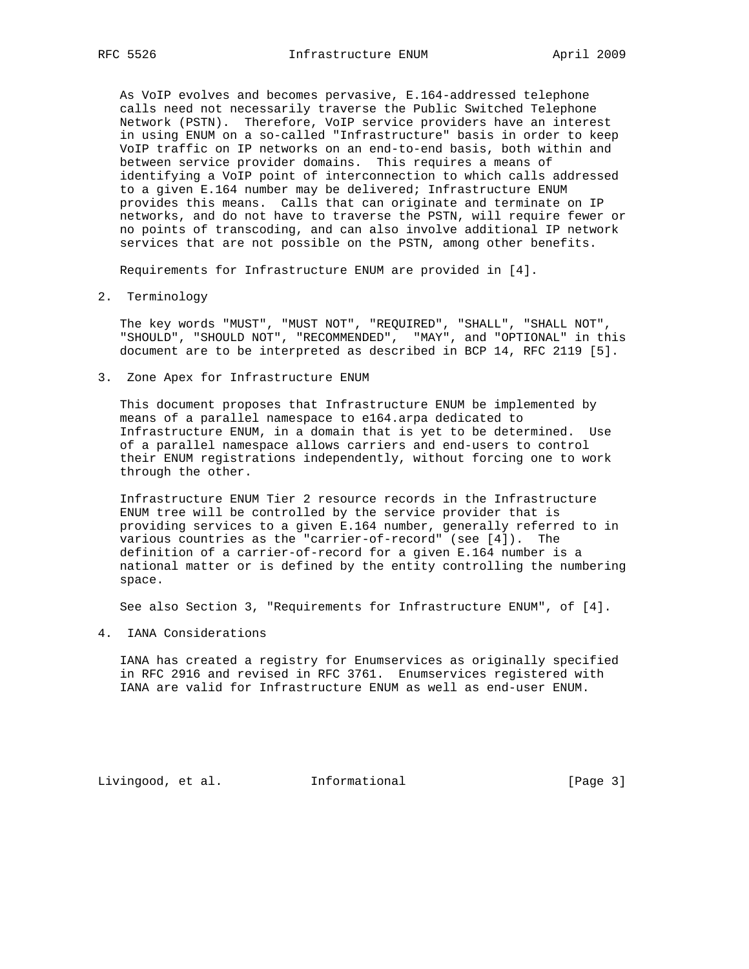As VoIP evolves and becomes pervasive, E.164-addressed telephone calls need not necessarily traverse the Public Switched Telephone Network (PSTN). Therefore, VoIP service providers have an interest in using ENUM on a so-called "Infrastructure" basis in order to keep VoIP traffic on IP networks on an end-to-end basis, both within and between service provider domains. This requires a means of identifying a VoIP point of interconnection to which calls addressed to a given E.164 number may be delivered; Infrastructure ENUM provides this means. Calls that can originate and terminate on IP networks, and do not have to traverse the PSTN, will require fewer or no points of transcoding, and can also involve additional IP network services that are not possible on the PSTN, among other benefits.

Requirements for Infrastructure ENUM are provided in [4].

2. Terminology

 The key words "MUST", "MUST NOT", "REQUIRED", "SHALL", "SHALL NOT", "SHOULD", "SHOULD NOT", "RECOMMENDED", "MAY", and "OPTIONAL" in this document are to be interpreted as described in BCP 14, RFC 2119 [5].

3. Zone Apex for Infrastructure ENUM

 This document proposes that Infrastructure ENUM be implemented by means of a parallel namespace to e164.arpa dedicated to Infrastructure ENUM, in a domain that is yet to be determined. Use of a parallel namespace allows carriers and end-users to control their ENUM registrations independently, without forcing one to work through the other.

 Infrastructure ENUM Tier 2 resource records in the Infrastructure ENUM tree will be controlled by the service provider that is providing services to a given E.164 number, generally referred to in various countries as the "carrier-of-record" (see [4]). The definition of a carrier-of-record for a given E.164 number is a national matter or is defined by the entity controlling the numbering space.

See also Section 3, "Requirements for Infrastructure ENUM", of [4].

4. IANA Considerations

 IANA has created a registry for Enumservices as originally specified in RFC 2916 and revised in RFC 3761. Enumservices registered with IANA are valid for Infrastructure ENUM as well as end-user ENUM.

Livingood, et al. Informational [Page 3]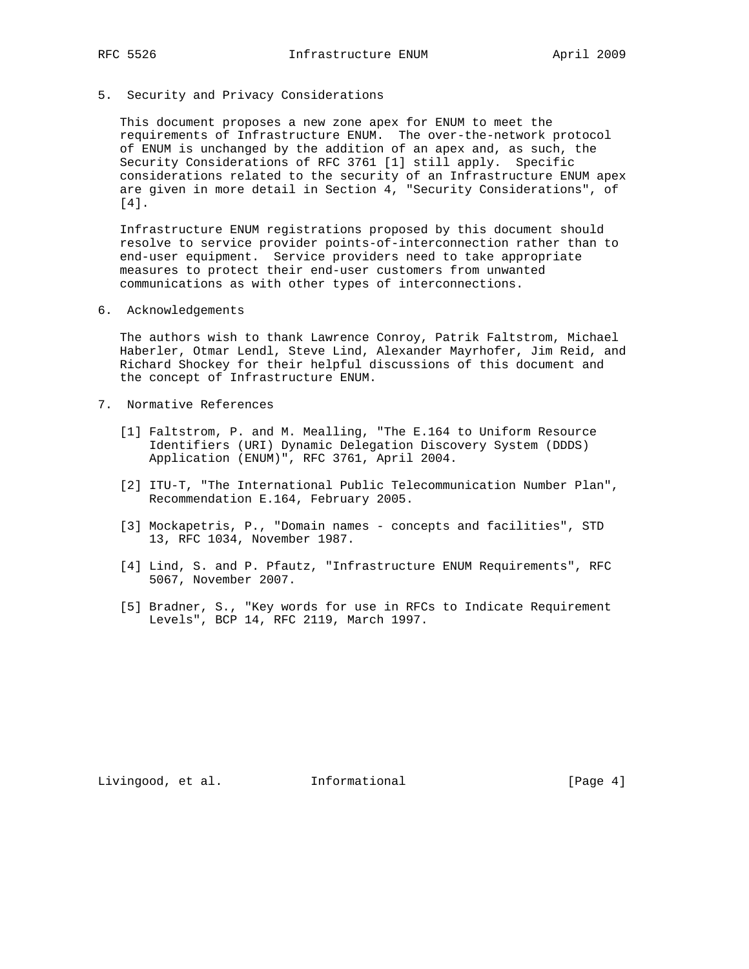## 5. Security and Privacy Considerations

 This document proposes a new zone apex for ENUM to meet the requirements of Infrastructure ENUM. The over-the-network protocol of ENUM is unchanged by the addition of an apex and, as such, the Security Considerations of RFC 3761 [1] still apply. Specific considerations related to the security of an Infrastructure ENUM apex are given in more detail in Section 4, "Security Considerations", of [4].

 Infrastructure ENUM registrations proposed by this document should resolve to service provider points-of-interconnection rather than to end-user equipment. Service providers need to take appropriate measures to protect their end-user customers from unwanted communications as with other types of interconnections.

6. Acknowledgements

 The authors wish to thank Lawrence Conroy, Patrik Faltstrom, Michael Haberler, Otmar Lendl, Steve Lind, Alexander Mayrhofer, Jim Reid, and Richard Shockey for their helpful discussions of this document and the concept of Infrastructure ENUM.

- 7. Normative References
	- [1] Faltstrom, P. and M. Mealling, "The E.164 to Uniform Resource Identifiers (URI) Dynamic Delegation Discovery System (DDDS) Application (ENUM)", RFC 3761, April 2004.
	- [2] ITU-T, "The International Public Telecommunication Number Plan", Recommendation E.164, February 2005.
	- [3] Mockapetris, P., "Domain names concepts and facilities", STD 13, RFC 1034, November 1987.
	- [4] Lind, S. and P. Pfautz, "Infrastructure ENUM Requirements", RFC 5067, November 2007.
	- [5] Bradner, S., "Key words for use in RFCs to Indicate Requirement Levels", BCP 14, RFC 2119, March 1997.